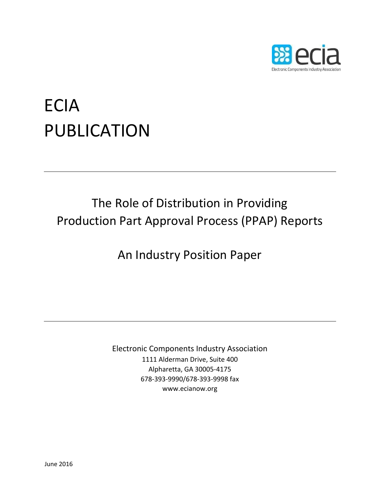

# ECIA PUBLICATION

## The Role of Distribution in Providing Production Part Approval Process (PPAP) Reports

An Industry Position Paper

Electronic Components Industry Association 1111 Alderman Drive, Suite 400 Alpharetta, GA 30005‐4175 678‐393‐9990/678‐393‐9998 fax www.ecianow.org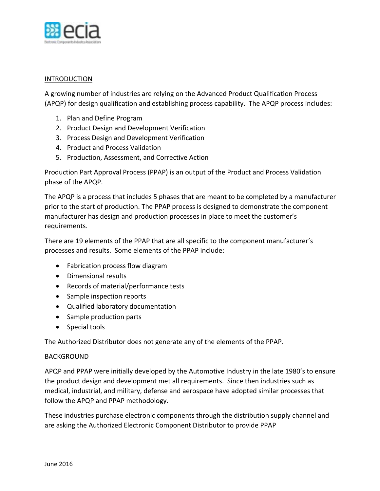

### INTRODUCTION

A growing number of industries are relying on the Advanced Product Qualification Process (APQP) for design qualification and establishing process capability. The APQP process includes:

- 1. Plan and Define Program
- 2. Product Design and Development Verification
- 3. Process Design and Development Verification
- 4. Product and Process Validation
- 5. Production, Assessment, and Corrective Action

Production Part Approval Process (PPAP) is an output of the Product and Process Validation phase of the APQP.

The APQP is a process that includes 5 phases that are meant to be completed by a manufacturer prior to the start of production. The PPAP process is designed to demonstrate the component manufacturer has design and production processes in place to meet the customer's requirements.

There are 19 elements of the PPAP that are all specific to the component manufacturer's processes and results. Some elements of the PPAP include:

- Fabrication process flow diagram
- Dimensional results
- Records of material/performance tests
- Sample inspection reports
- Qualified laboratory documentation
- Sample production parts
- Special tools

The Authorized Distributor does not generate any of the elements of the PPAP.

### **BACKGROUND**

APQP and PPAP were initially developed by the Automotive Industry in the late 1980's to ensure the product design and development met all requirements. Since then industries such as medical, industrial, and military, defense and aerospace have adopted similar processes that follow the APQP and PPAP methodology.

These industries purchase electronic components through the distribution supply channel and are asking the Authorized Electronic Component Distributor to provide PPAP